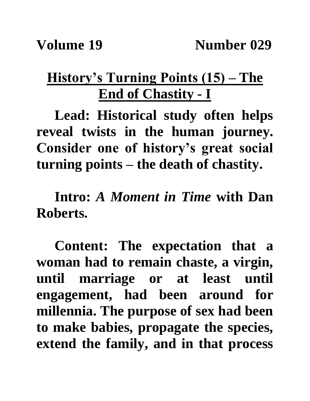## **History's Turning Points (15) – The End of Chastity - I**

**Lead: Historical study often helps reveal twists in the human journey. Consider one of history's great social turning points – the death of chastity.**

**Intro:** *A Moment in Time* **with Dan Roberts.**

**Content: The expectation that a woman had to remain chaste, a virgin, until marriage or at least until engagement, had been around for millennia. The purpose of sex had been to make babies, propagate the species, extend the family, and in that process**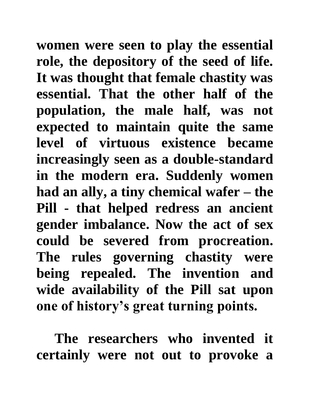**women were seen to play the essential role, the depository of the seed of life. It was thought that female chastity was essential. That the other half of the population, the male half, was not expected to maintain quite the same level of virtuous existence became increasingly seen as a double-standard in the modern era. Suddenly women had an ally, a tiny chemical wafer – the Pill - that helped redress an ancient gender imbalance. Now the act of sex could be severed from procreation. The rules governing chastity were being repealed. The invention and wide availability of the Pill sat upon one of history's great turning points.**

**The researchers who invented it certainly were not out to provoke a**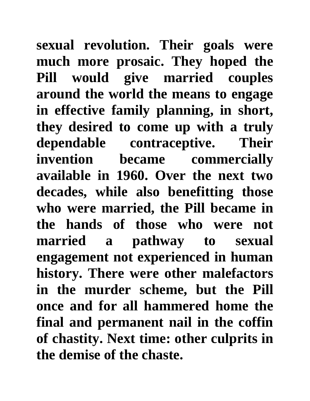**sexual revolution. Their goals were much more prosaic. They hoped the Pill would give married couples around the world the means to engage in effective family planning, in short, they desired to come up with a truly dependable contraceptive. Their invention became commercially available in 1960. Over the next two decades, while also benefitting those who were married, the Pill became in the hands of those who were not married a pathway to sexual engagement not experienced in human history. There were other malefactors in the murder scheme, but the Pill once and for all hammered home the final and permanent nail in the coffin of chastity. Next time: other culprits in the demise of the chaste.**